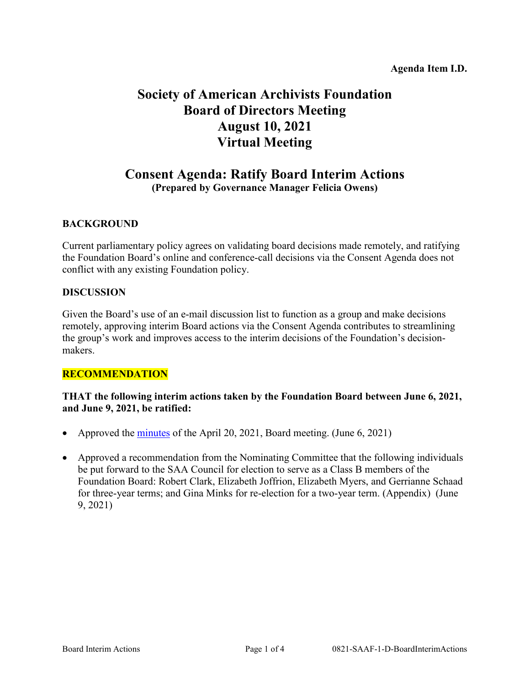# **Society of American Archivists Foundation Board of Directors Meeting August 10, 2021 Virtual Meeting**

## **Consent Agenda: Ratify Board Interim Actions (Prepared by Governance Manager Felicia Owens)**

## **BACKGROUND**

Current parliamentary policy agrees on validating board decisions made remotely, and ratifying the Foundation Board's online and conference-call decisions via the Consent Agenda does not conflict with any existing Foundation policy.

#### **DISCUSSION**

Given the Board's use of an e-mail discussion list to function as a group and make decisions remotely, approving interim Board actions via the Consent Agenda contributes to streamlining the group's work and improves access to the interim decisions of the Foundation's decisionmakers.

## **RECOMMENDATION**

## **THAT the following interim actions taken by the Foundation Board between June 6, 2021, and June 9, 2021, be ratified:**

- Approved the [minutes](https://www2.archivists.org/groups/saa-foundation-board-of-directors/april-20-2021-foundation-board-meeting-minutes) of the April 20, 2021, Board meeting. (June 6, 2021)
- Approved a recommendation from the Nominating Committee that the following individuals be put forward to the SAA Council for election to serve as a Class B members of the Foundation Board: Robert Clark, Elizabeth Joffrion, Elizabeth Myers, and Gerrianne Schaad for three-year terms; and Gina Minks for re-election for a two-year term. (Appendix) (June 9, 2021)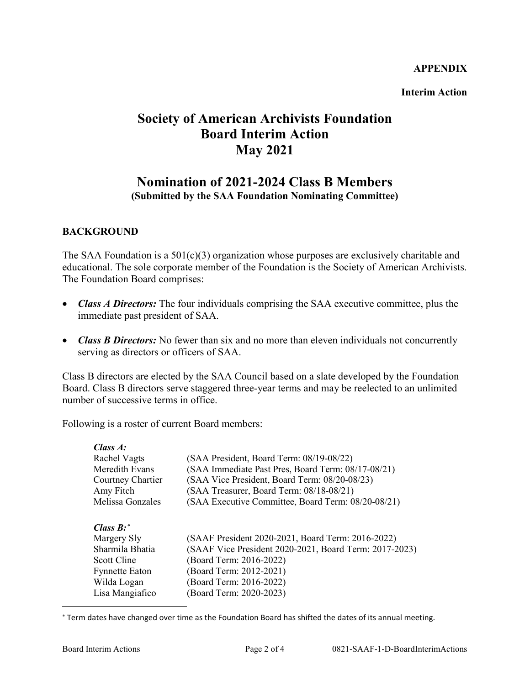#### **APPENDIX**

**Interim Action**

# **Society of American Archivists Foundation Board Interim Action May 2021**

## **Nomination of 2021-2024 Class B Members (Submitted by the SAA Foundation Nominating Committee)**

## **BACKGROUND**

The SAA Foundation is a 501(c)(3) organization whose purposes are exclusively charitable and educational. The sole corporate member of the Foundation is the Society of American Archivists. The Foundation Board comprises:

- *Class A Directors:* The four individuals comprising the SAA executive committee, plus the immediate past president of SAA.
- *Class B Directors:* No fewer than six and no more than eleven individuals not concurrently serving as directors or officers of SAA.

Class B directors are elected by the SAA Council based on a slate developed by the Foundation Board. Class B directors serve staggered three-year terms and may be reelected to an unlimited number of successive terms in office.

Following is a roster of current Board members:

| $Class A$ :           |                                                        |  |
|-----------------------|--------------------------------------------------------|--|
| Rachel Vagts          | (SAA President, Board Term: 08/19-08/22)               |  |
| Meredith Evans        | (SAA Immediate Past Pres, Board Term: 08/17-08/21)     |  |
| Courtney Chartier     | (SAA Vice President, Board Term: 08/20-08/23)          |  |
| Amy Fitch             | (SAA Treasurer, Board Term: 08/18-08/21)               |  |
| Melissa Gonzales      | (SAA Executive Committee, Board Term: 08/20-08/21)     |  |
| Class $B$ :*          |                                                        |  |
| Margery Sly           | (SAAF President 2020-2021, Board Term: 2016-2022)      |  |
| Sharmila Bhatia       | (SAAF Vice President 2020-2021, Board Term: 2017-2023) |  |
| Scott Cline           | (Board Term: 2016-2022)                                |  |
| <b>Fynnette Eaton</b> | (Board Term: 2012-2021)                                |  |
| Wilda Logan           | (Board Term: 2016-2022)                                |  |
| Lisa Mangiafico       | (Board Term: 2020-2023)                                |  |
|                       |                                                        |  |

<span id="page-1-0"></span><sup>∗</sup> Term dates have changed over time as the Foundation Board has shifted the dates of its annual meeting.

 $\overline{a}$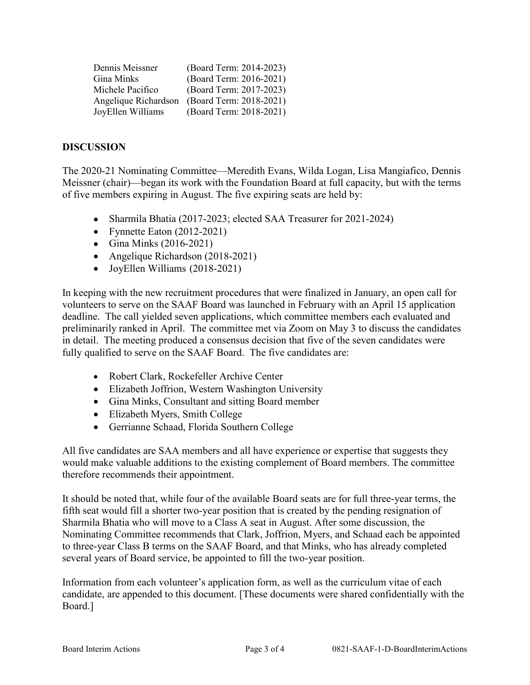| Dennis Meissner      | (Board Term: 2014-2023) |
|----------------------|-------------------------|
| Gina Minks           | (Board Term: 2016-2021) |
| Michele Pacifico     | (Board Term: 2017-2023) |
| Angelique Richardson | (Board Term: 2018-2021) |
| JoyEllen Williams    | (Board Term: 2018-2021) |

### **DISCUSSION**

The 2020-21 Nominating Committee—Meredith Evans, Wilda Logan, Lisa Mangiafico, Dennis Meissner (chair)—began its work with the Foundation Board at full capacity, but with the terms of five members expiring in August. The five expiring seats are held by:

- Sharmila Bhatia (2017-2023; elected SAA Treasurer for 2021-2024)
- Fynnette Eaton (2012-2021)
- Gina Minks  $(2016-2021)$
- Angelique Richardson (2018-2021)
- JoyEllen Williams (2018-2021)

In keeping with the new recruitment procedures that were finalized in January, an open call for volunteers to serve on the SAAF Board was launched in February with an April 15 application deadline. The call yielded seven applications, which committee members each evaluated and preliminarily ranked in April. The committee met via Zoom on May 3 to discuss the candidates in detail. The meeting produced a consensus decision that five of the seven candidates were fully qualified to serve on the SAAF Board. The five candidates are:

- Robert Clark, Rockefeller Archive Center
- Elizabeth Joffrion, Western Washington University
- Gina Minks, Consultant and sitting Board member
- Elizabeth Myers, Smith College
- Gerrianne Schaad, Florida Southern College

All five candidates are SAA members and all have experience or expertise that suggests they would make valuable additions to the existing complement of Board members. The committee therefore recommends their appointment.

It should be noted that, while four of the available Board seats are for full three-year terms, the fifth seat would fill a shorter two-year position that is created by the pending resignation of Sharmila Bhatia who will move to a Class A seat in August. After some discussion, the Nominating Committee recommends that Clark, Joffrion, Myers, and Schaad each be appointed to three-year Class B terms on the SAAF Board, and that Minks, who has already completed several years of Board service, be appointed to fill the two-year position.

Information from each volunteer's application form, as well as the curriculum vitae of each candidate, are appended to this document. [These documents were shared confidentially with the Board.]